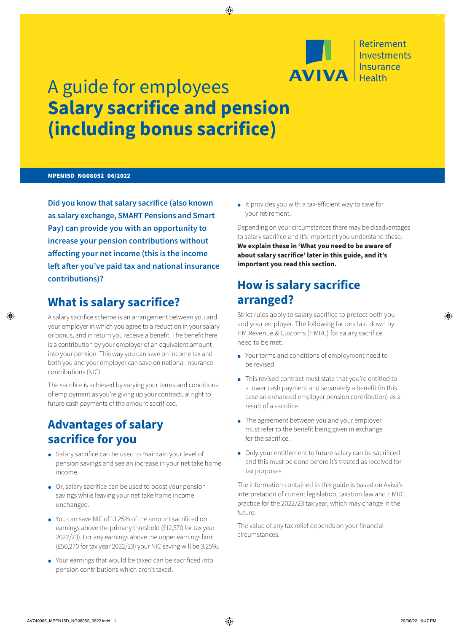

# A guide for employees **Salary sacrifice and pension (including bonus sacrifice)**

#### MPEN15D NG08052 06/2022

**Did you know that salary sacrifice (also known as salary exchange, SMART Pensions and Smart Pay) can provide you with an opportunity to increase your pension contributions without affecting your net income (this is the income left after you've paid tax and national insurance contributions)?**

### **What is salary sacrifice?**

A salary sacrifice scheme is an arrangement between you and your employer in which you agree to a reduction in your salary or bonus, and in return you receive a benefit. The benefit here is a contribution by your employer of an equivalent amount into your pension. This way you can save on income tax and both you and your employer can save on national insurance contributions (NIC).

The sacrifice is achieved by varying your terms and conditions of employment as you're giving up your contractual right to future cash payments of the amount sacrificed.

### **Advantages of salary sacrifice for you**

- Salary sacrifice can be used to maintain your level of pension savings and see an increase in your net take home income.
- Or, salary sacrifice can be used to boost your pension savings while leaving your net take home income unchanged.
- You can save NIC of 13.25% of the amount sacrificed on earnings above the primary threshold (£12,570 for tax year 2022/23). For any earnings above the upper earnings limit (£50,270 for tax year 2022/23) your NIC saving will be 3.25%.
- Your earnings that would be taxed can be sacrificed into pension contributions which aren't taxed.

• It provides you with a tax-efficient way to save for your retirement.

Depending on your circumstances there may be disadvantages to salary sacrifice and it's important you understand these. **We explain these in 'What you need to be aware of about salary sacrifice' later in this guide, and it's important you read this section.**

### **How is salary sacrifice arranged?**

Strict rules apply to salary sacrifice to protect both you and your employer. The following factors laid down by HM Revenue & Customs (HMRC) for salary sacrifice need to be met:

- Your terms and conditions of employment need to be revised.
- This revised contract must state that you're entitled to a lower cash payment and separately a benefit (in this case an enhanced employer pension contribution) as a result of a sacrifice.
- The agreement between you and your employer must refer to the benefit being given in exchange for the sacrifice.
- Only your entitlement to future salary can be sacrificed and this must be done before it's treated as received for tax purposes.

The information contained in this guide is based on Aviva's interpretation of current legislation, taxation law and HMRC practice for the 2022/23 tax year, which may change in the future.

The value of any tax relief depends on your financial circumstances.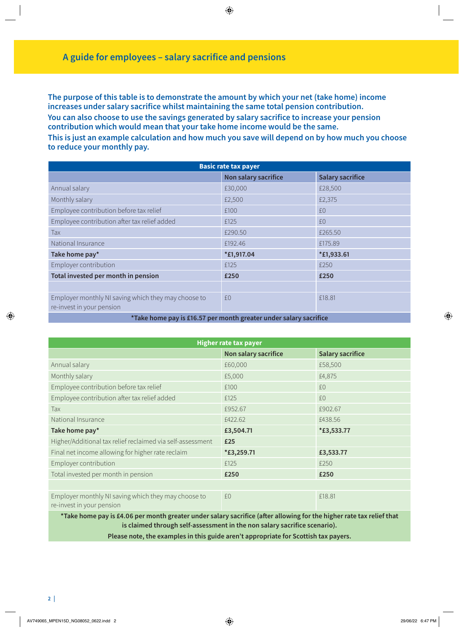**The purpose of this table is to demonstrate the amount by which your net (take home) income increases under salary sacrifice whilst maintaining the same total pension contribution. You can also choose to use the savings generated by salary sacrifice to increase your pension contribution which would mean that your take home income would be the same.**

**This is just an example calculation and how much you save will depend on by how much you choose to reduce your monthly pay.**

| <b>Basic rate tax payer</b>                                                      |                      |                         |  |
|----------------------------------------------------------------------------------|----------------------|-------------------------|--|
|                                                                                  | Non salary sacrifice | <b>Salary sacrifice</b> |  |
| Annual salary                                                                    | £30,000              | £28,500                 |  |
| Monthly salary                                                                   | £2,500               | £2,375                  |  |
| Employee contribution before tax relief                                          | £100                 | f()                     |  |
| Employee contribution after tax relief added                                     | £125                 | f()                     |  |
| Tax                                                                              | £290.50              | £265.50                 |  |
| National Insurance                                                               | £192.46              | £175.89                 |  |
| Take home pay*                                                                   | *£1,917.04           | *£1,933.61              |  |
| Employer contribution                                                            | £125                 | £250                    |  |
| Total invested per month in pension                                              | £250                 | £250                    |  |
|                                                                                  |                      |                         |  |
| Employer monthly NI saving which they may choose to<br>re-invest in your pension | £0                   | £18.81                  |  |
| • • •<br>---<br>$\sim$ $\sim$ $\sim$ $\sim$ $\sim$                               |                      |                         |  |

**\*Take home pay is £16.57 per month greater under salary sacrifice**

| <b>Higher rate tax payer</b>                                                     |                      |                         |  |
|----------------------------------------------------------------------------------|----------------------|-------------------------|--|
|                                                                                  | Non salary sacrifice | <b>Salary sacrifice</b> |  |
| Annual salary                                                                    | £60,000              | £58,500                 |  |
| Monthly salary                                                                   | £5,000               | £4,875                  |  |
| Employee contribution before tax relief                                          | £100                 | £0                      |  |
| Employee contribution after tax relief added                                     | £125                 | £0                      |  |
| Tax                                                                              | £952.67              | £902.67                 |  |
| National Insurance                                                               | £422.62              | £438.56                 |  |
| Take home pay*                                                                   | £3,504.71            | *£3,533.77              |  |
| Higher/Additional tax relief reclaimed via self-assessment                       | £25                  |                         |  |
| Final net income allowing for higher rate reclaim                                | *£3,259.71           | £3,533.77               |  |
| Employer contribution                                                            | £125                 | £250                    |  |
| Total invested per month in pension                                              | £250                 | £250                    |  |
|                                                                                  |                      |                         |  |
| Employer monthly NI saving which they may choose to<br>re-invest in your pension | £0                   | £18.81                  |  |

**\*Take home pay is £4.06 per month greater under salary sacrifice (after allowing for the higher rate tax relief that is claimed through self-assessment in the non salary sacrifice scenario).**

**Please note, the examples in this guide aren't appropriate for Scottish tax payers.**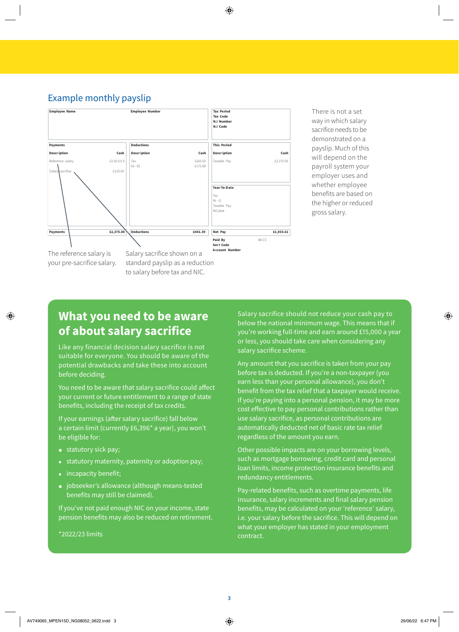### Example monthly payslip



There is not a set way in which salary sacrifice needs to be demonstrated on a payslip. Much of this will depend on the payroll system your employer uses and whether employee benefits are based on the higher or reduced gross salary.

### **What you need to be aware of about salary sacrifice**

Like any financial decision salary sacrifice is not suitable for everyone. You should be aware of the potential drawbacks and take these into account before deciding.

You need to be aware that salary sacrifice could affect your current or future entitlement to a range of state benefits, including the receipt of tax credits.

If your earnings (after salary sacrifice) fall below a certain limit (currently £6,396\* a year), you won't be eligible for:

- statutory sick pay;
- statutory maternity, paternity or adoption pay;
- incapacity benefit;
- jobseeker's allowance (although means-tested benefits may still be claimed).

If you've not paid enough NIC on your income, state pension benefits may also be reduced on retirement.

\*2022/23 limits

Salary sacrifice should not reduce your cash pay to below the national minimum wage. This means that if you're working full-time and earn around £15,000 a year or less, you should take care when considering any salary sacrifice scheme.

Any amount that you sacrifice is taken from your pay before tax is deducted. If you're a non-taxpayer (you earn less than your personal allowance), you don't benefit from the tax relief that a taxpayer would receive. If you're paying into a personal pension, it may be more cost effective to pay personal contributions rather than use salary sacrifice, as personal contributions are automatically deducted net of basic rate tax relief regardless of the amount you earn.

Other possible impacts are on your borrowing levels, such as mortgage borrowing, credit card and personal loan limits, income protection insurance benefits and redundancy entitlements.

Pay-related benefits, such as overtime payments, life insurance, salary increments and final salary pension benefits, may be calculated on your 'reference' salary, i.e. your salary before the sacrifice. This will depend on what your employer has stated in your employment contract.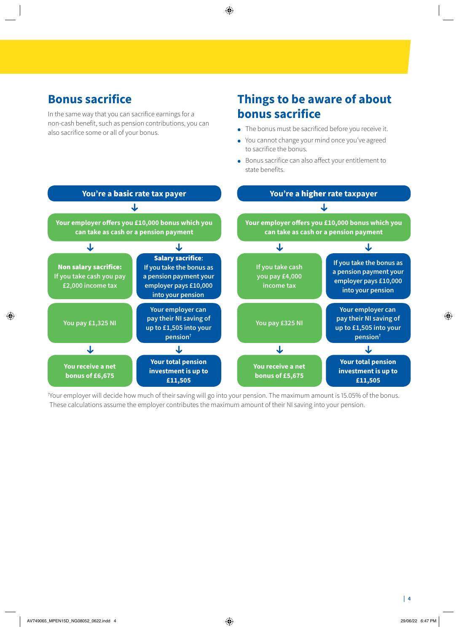# **Bonus sacrifice**

In the same way that you can sacrifice earnings for a non-cash benefit, such as pension contributions, you can also sacrifice some or all of your bonus.

## **Things to be aware of about bonus sacrifice**

- The bonus must be sacrificed before you receive it.
- You cannot change your mind once you've agreed to sacrifice the bonus.
- Bonus sacrifice can also affect your entitlement to state benefits.



† Your employer will decide how much of their saving will go into your pension. The maximum amount is 15.05% of the bonus. These calculations assume the employer contributes the maximum amount of their NI saving into your pension.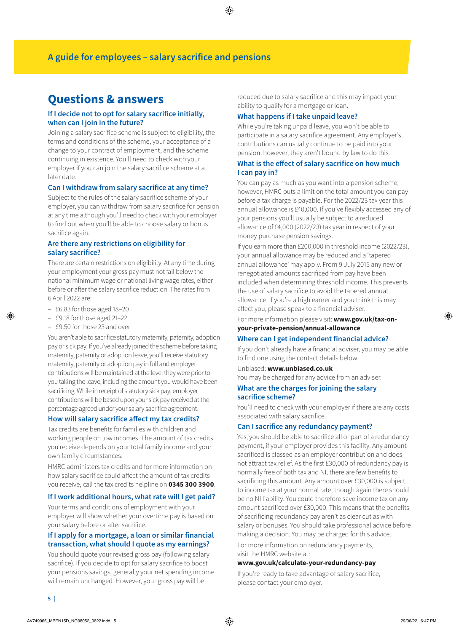### **Questions & answers**

#### **If I decide not to opt for salary sacrifice initially, when can I join in the future?**

Joining a salary sacrifice scheme is subject to eligibility, the terms and conditions of the scheme, your acceptance of a change to your contract of employment, and the scheme continuing in existence. You'll need to check with your employer if you can join the salary sacrifice scheme at a later date.

#### **Can I withdraw from salary sacrifice at any time?**

Subject to the rules of the salary sacrifice scheme of your employer, you can withdraw from salary sacrifice for pension at any time although you'll need to check with your employer to find out when you'll be able to choose salary or bonus sacrifice again.

#### **Are there any restrictions on eligibility for salary sacrifice?**

There are certain restrictions on eligibility. At any time during your employment your gross pay must not fall below the national minimum wage or national living wage rates, either before or after the salary sacrifice reduction. The rates from 6 April 2022 are:

- £6.83 for those aged 18–20
- £9.18 for those aged 21–22
- £9.50 for those 23 and over

You aren't able to sacrifice statutory maternity, paternity, adoption pay or sick pay. If you've already joined the scheme before taking maternity, paternity or adoption leave, you'll receive statutory maternity, paternity or adoption pay in full and employer contributions will be maintained at the level they were prior to you taking the leave, including the amount you would have been sacrificing. While in receipt of statutory sick pay, employer contributions will be based upon your sick pay received at the percentage agreed under your salary sacrifice agreement.

#### **How will salary sacrifice affect my tax credits?**

Tax credits are benefits for families with children and working people on low incomes. The amount of tax credits you receive depends on your total family income and your own family circumstances.

HMRC administers tax credits and for more information on how salary sacrifice could affect the amount of tax credits you receive, call the tax credits helpline on **0345 300 3900**.

#### **If I work additional hours, what rate will I get paid?**

Your terms and conditions of employment with your employer will show whether your overtime pay is based on your salary before or after sacrifice.

#### **If I apply for a mortgage, a loan or similar financial transaction, what should I quote as my earnings?**

You should quote your revised gross pay (following salary sacrifice). If you decide to opt for salary sacrifice to boost your pensions savings, generally your net spending income will remain unchanged. However, your gross pay will be

reduced due to salary sacrifice and this may impact your ability to qualify for a mortgage or loan.

#### **What happens if I take unpaid leave?**

While you're taking unpaid leave, you won't be able to participate in a salary sacrifice agreement. Any employer's contributions can usually continue to be paid into your pension; however, they aren't bound by law to do this.

#### **What is the effect of salary sacrifice on how much I can pay in?**

You can pay as much as you want into a pension scheme, however, HMRC puts a limit on the total amount you can pay before a tax charge is payable. For the 2022/23 tax year this annual allowance is £40,000. If you've flexibly accessed any of your pensions you'll usually be subject to a reduced allowance of £4,000 (2022/23) tax year in respect of your money purchase pension savings.

If you earn more than £200,000 in threshold income (2022/23), your annual allowance may be reduced and a 'tapered annual allowance' may apply. From 9 July 2015 any new or renegotiated amounts sacrificed from pay have been included when determining threshold income. This prevents the use of salary sacrifice to avoid the tapered annual allowance. If you're a high earner and you think this may affect you, please speak to a financial adviser.

For more information please visit: **[www.gov.uk/tax-on](https://www.gov.uk/tax-on-your-private-pension/annual-allowance)[your-private-pension/annual-allowance](https://www.gov.uk/tax-on-your-private-pension/annual-allowance)**

#### **Where can I get independent financial advice?**

If you don't already have a financial adviser, you may be able to find one using the contact details below.

Unbiased: **[www.unbiased.co.uk](http://www.unbiased.co.uk)** You may be charged for any advice from an adviser.

#### **What are the charges for joining the salary sacrifice scheme?**

You'll need to check with your employer if there are any costs associated with salary sacrifice.

#### **Can I sacrifice any redundancy payment?**

Yes, you should be able to sacrifice all or part of a redundancy payment, if your employer provides this facility. Any amount sacrificed is classed as an employer contribution and does not attract tax relief. As the first £30,000 of redundancy pay is normally free of both tax and NI, there are few benefits to sacrificing this amount. Any amount over £30,000 is subject to income tax at your normal rate, though again there should be no NI liability. You could therefore save income tax on any amount sacrificed over £30,000. This means that the benefits of sacrificing redundancy pay aren't as clear cut as with salary or bonuses. You should take professional advice before making a decision. You may be charged for this advice.

For more information on redundancy payments, visit the HMRC website at:

#### **[www.gov.uk/calculate-your-redundancy-pay](http://www.gov.uk/calculate-your-redundancy-pay)**

If you're ready to take advantage of salary sacrifice, please contact your employer.